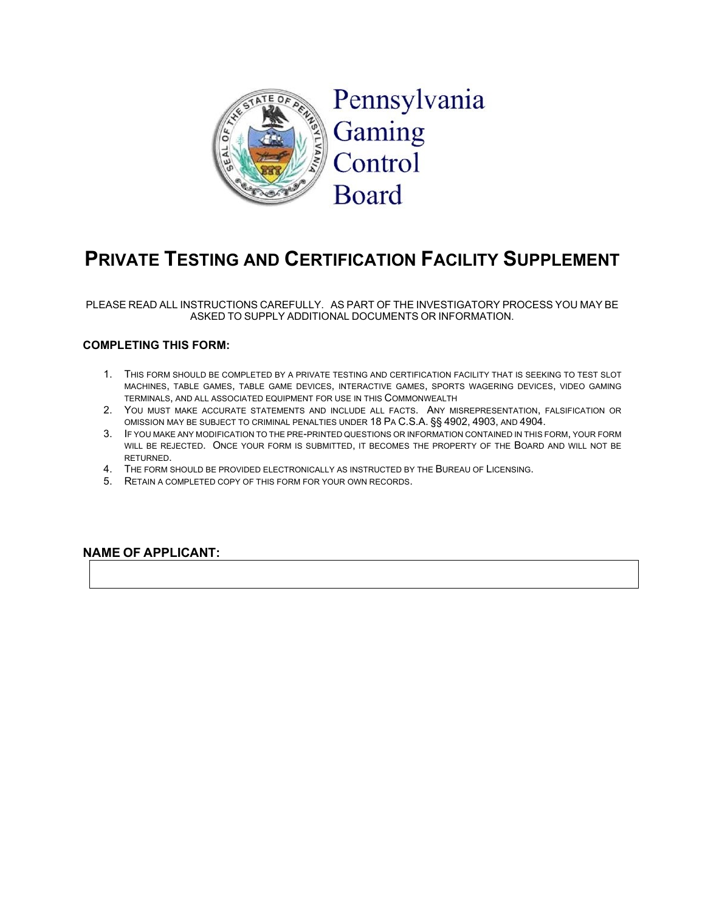

# **PRIVATE TESTING AND CERTIFICATION FACILITY SUPPLEMENT**

PLEASE READ ALL INSTRUCTIONS CAREFULLY. AS PART OF THE INVESTIGATORY PROCESS YOU MAY BE ASKED TO SUPPLY ADDITIONAL DOCUMENTS OR INFORMATION.

#### **COMPLETING THIS FORM:**

- 1. THIS FORM SHOULD BE COMPLETED BY A PRIVATE TESTING AND CERTIFICATION FACILITY THAT IS SEEKING TO TEST SLOT MACHINES, TABLE GAMES, TABLE GAME DEVICES, INTERACTIVE GAMES, SPORTS WAGERING DEVICES, VIDEO GAMING TERMINALS, AND ALL ASSOCIATED EQUIPMENT FOR USE IN THIS COMMONWEALTH
- 2. YOU MUST MAKE ACCURATE STATEMENTS AND INCLUDE ALL FACTS. ANY MISREPRESENTATION, FALSIFICATION OR OMISSION MAY BE SUBJECT TO CRIMINAL PENALTIES UNDER 18 PA C.S.A. §§ 4902, 4903, AND 4904.
- 3. IF YOU MAKE ANY MODIFICATION TO THE PRE-PRINTED QUESTIONS OR INFORMATION CONTAINED IN THIS FORM, YOUR FORM WILL BE REJECTED. ONCE YOUR FORM IS SUBMITTED. IT BECOMES THE PROPERTY OF THE BOARD AND WILL NOT BE RETURNED.
- 4. THE FORM SHOULD BE PROVIDED ELECTRONICALLY AS INSTRUCTED BY THE BUREAU OF LICENSING.
- 5. RETAIN A COMPLETED COPY OF THIS FORM FOR YOUR OWN RECORDS.

#### **NAME OF APPLICANT:**